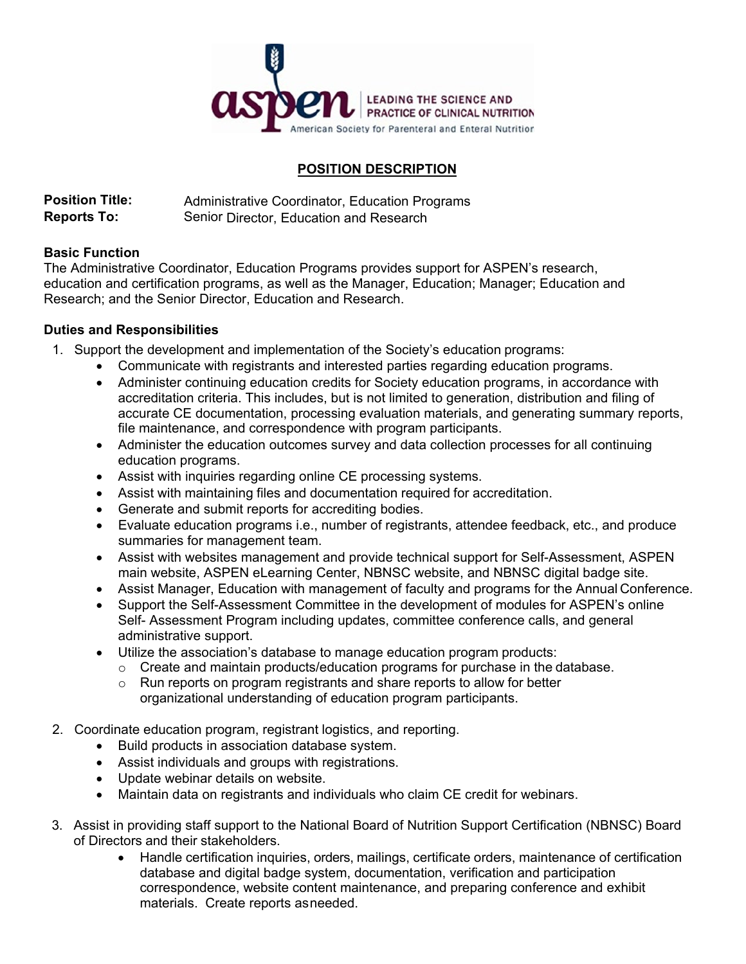

## **POSITION DESCRIPTION**

**Position Title:** Administrative Coordinator, Education Programs **Reports To:** Senior Director, Education and Research

## **Basic Function**

The Administrative Coordinator, Education Programs provides support for ASPEN's research, education and certification programs, as well as the Manager, Education; Manager; Education and Research; and the Senior Director, Education and Research.

## **Duties and Responsibilities**

- 1. Support the development and implementation of the Society's education programs:
	- Communicate with registrants and interested parties regarding education programs.
	- Administer continuing education credits for Society education programs, in accordance with accreditation criteria. This includes, but is not limited to generation, distribution and filing of accurate CE documentation, processing evaluation materials, and generating summary reports, file maintenance, and correspondence with program participants.
	- Administer the education outcomes survey and data collection processes for all continuing education programs.
	- Assist with inquiries regarding online CE processing systems.
	- Assist with maintaining files and documentation required for accreditation.
	- Generate and submit reports for accrediting bodies.
	- Evaluate education programs i.e., number of registrants, attendee feedback, etc., and produce summaries for management team.
	- Assist with websites management and provide technical support for Self-Assessment, ASPEN main website, ASPEN eLearning Center, NBNSC website, and NBNSC digital badge site.
	- Assist Manager, Education with management of faculty and programs for the Annual Conference.
	- Support the Self-Assessment Committee in the development of modules for ASPEN's online Self- Assessment Program including updates, committee conference calls, and general administrative support.
	- Utilize the association's database to manage education program products:
		- $\circ$  Create and maintain products/education programs for purchase in the database.
		- o Run reports on program registrants and share reports to allow for better organizational understanding of education program participants.
- 2. Coordinate education program, registrant logistics, and reporting.
	- Build products in association database system.
	- Assist individuals and groups with registrations.
	- Update webinar details on website.
	- Maintain data on registrants and individuals who claim CE credit for webinars.
- 3. Assist in providing staff support to the National Board of Nutrition Support Certification (NBNSC) Board of Directors and their stakeholders.
	- Handle certification inquiries, orders, mailings, certificate orders, maintenance of certification database and digital badge system, documentation, verification and participation correspondence, website content maintenance, and preparing conference and exhibit materials. Create reports asneeded.